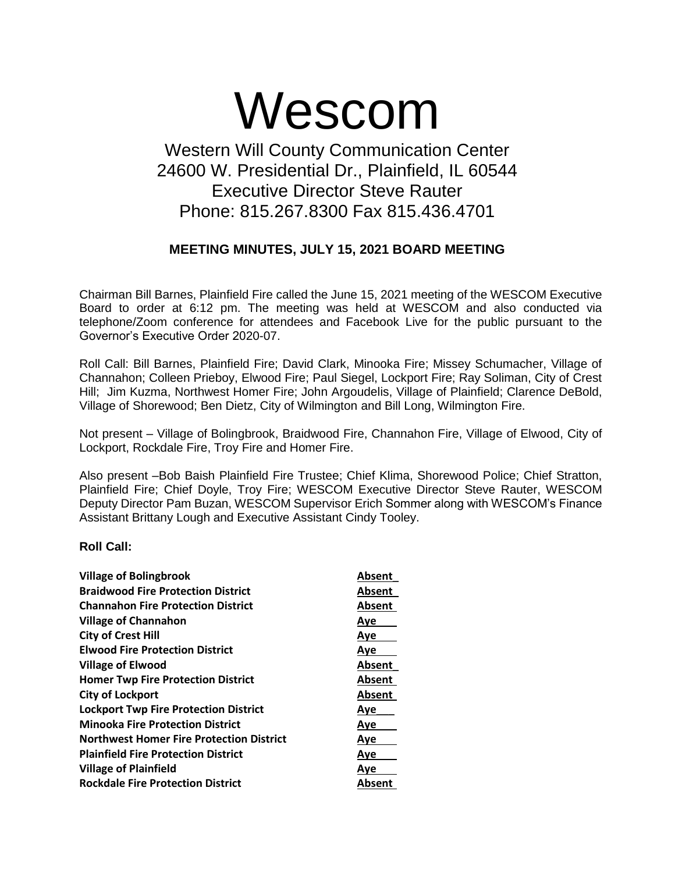# Wescom

## Western Will County Communication Center 24600 W. Presidential Dr., Plainfield, IL 60544 Executive Director Steve Rauter Phone: 815.267.8300 Fax 815.436.4701

### **MEETING MINUTES, JULY 15, 2021 BOARD MEETING**

Chairman Bill Barnes, Plainfield Fire called the June 15, 2021 meeting of the WESCOM Executive Board to order at 6:12 pm. The meeting was held at WESCOM and also conducted via telephone/Zoom conference for attendees and Facebook Live for the public pursuant to the Governor's Executive Order 2020-07.

Roll Call: Bill Barnes, Plainfield Fire; David Clark, Minooka Fire; Missey Schumacher, Village of Channahon; Colleen Prieboy, Elwood Fire; Paul Siegel, Lockport Fire; Ray Soliman, City of Crest Hill; Jim Kuzma, Northwest Homer Fire; John Argoudelis, Village of Plainfield; Clarence DeBold, Village of Shorewood; Ben Dietz, City of Wilmington and Bill Long, Wilmington Fire.

Not present – Village of Bolingbrook, Braidwood Fire, Channahon Fire, Village of Elwood, City of Lockport, Rockdale Fire, Troy Fire and Homer Fire.

Also present –Bob Baish Plainfield Fire Trustee; Chief Klima, Shorewood Police; Chief Stratton, Plainfield Fire; Chief Doyle, Troy Fire; WESCOM Executive Director Steve Rauter, WESCOM Deputy Director Pam Buzan, WESCOM Supervisor Erich Sommer along with WESCOM's Finance Assistant Brittany Lough and Executive Assistant Cindy Tooley.

#### **Roll Call:**

| <b>Village of Bolingbrook</b>                | Absent     |
|----------------------------------------------|------------|
| <b>Braidwood Fire Protection District</b>    | Absent     |
| <b>Channahon Fire Protection District</b>    | Absent     |
| <b>Village of Channahon</b>                  | Aye        |
| <b>City of Crest Hill</b>                    | Aye        |
| <b>Elwood Fire Protection District</b>       | Aye        |
| <b>Village of Elwood</b>                     | Absent     |
| <b>Homer Twp Fire Protection District</b>    | Absent     |
| <b>City of Lockport</b>                      | Absent     |
| <b>Lockport Twp Fire Protection District</b> | <u>Aye</u> |
| <b>Minooka Fire Protection District</b>      | Aye        |
| Northwest Homer Fire Protection District     | Aye        |
| <b>Plainfield Fire Protection District</b>   | <b>Aye</b> |
| <b>Village of Plainfield</b>                 | Ave        |
| <b>Rockdale Fire Protection District</b>     | Absent     |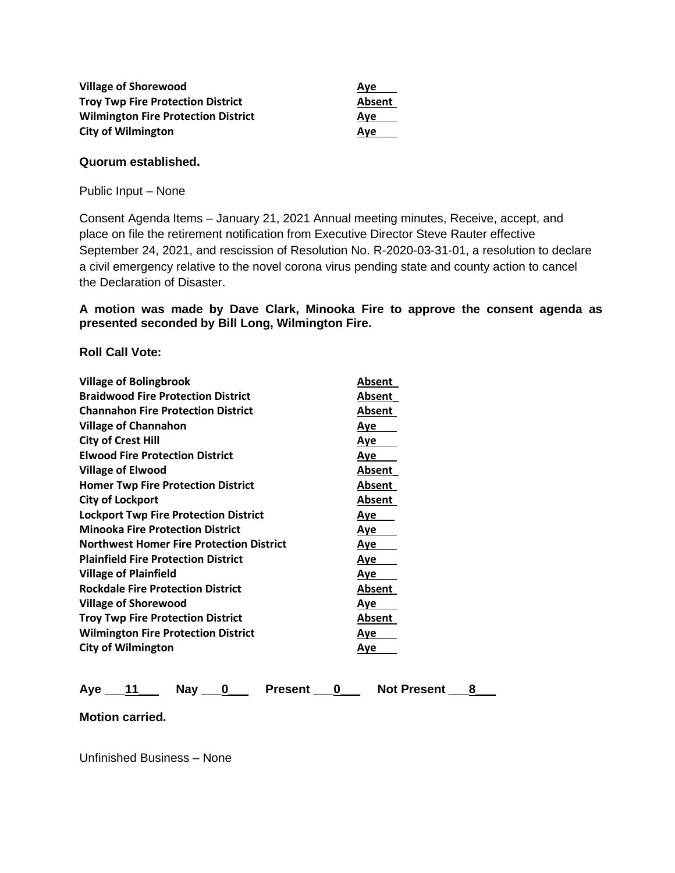| <b>Village of Shorewood</b>                | Ave    |
|--------------------------------------------|--------|
| <b>Troy Twp Fire Protection District</b>   | Absent |
| <b>Wilmington Fire Protection District</b> | Ave    |
| <b>City of Wilmington</b>                  | Ave    |

#### **Quorum established.**

Public Input – None

Consent Agenda Items – January 21, 2021 Annual meeting minutes, Receive, accept, and place on file the retirement notification from Executive Director Steve Rauter effective September 24, 2021, and rescission of Resolution No. R-2020-03-31-01, a resolution to declare a civil emergency relative to the novel corona virus pending state and county action to cancel the Declaration of Disaster.

#### **A motion was made by Dave Clark, Minooka Fire to approve the consent agenda as presented seconded by Bill Long, Wilmington Fire.**

**Roll Call Vote:**

| <b>Village of Bolingbrook</b>                   | Absent     |
|-------------------------------------------------|------------|
| <b>Braidwood Fire Protection District</b>       | Absent     |
| <b>Channahon Fire Protection District</b>       | Absent     |
| <b>Village of Channahon</b>                     | Aye        |
| <b>City of Crest Hill</b>                       | <u>Aye</u> |
| <b>Elwood Fire Protection District</b>          | Aye        |
| Village of Elwood                               | Absent     |
| <b>Homer Twp Fire Protection District</b>       | Absent     |
| <b>City of Lockport</b>                         | Absent     |
| <b>Lockport Twp Fire Protection District</b>    | Aye        |
| <b>Minooka Fire Protection District</b>         | Aye        |
| <b>Northwest Homer Fire Protection District</b> | Aye        |
| <b>Plainfield Fire Protection District</b>      | Aye        |
| <b>Village of Plainfield</b>                    | Aye        |
| <b>Rockdale Fire Protection District</b>        | Absent     |
| <b>Village of Shorewood</b>                     | Aye        |
| <b>Troy Twp Fire Protection District</b>        | Absent     |
| <b>Wilmington Fire Protection District</b>      | Aye        |
| <b>City of Wilmington</b>                       | Aye        |

| Ave | Nav | <b>Present</b> | <b>Not Present</b> |  |
|-----|-----|----------------|--------------------|--|
|     |     |                |                    |  |

**Motion carried.**

Unfinished Business – None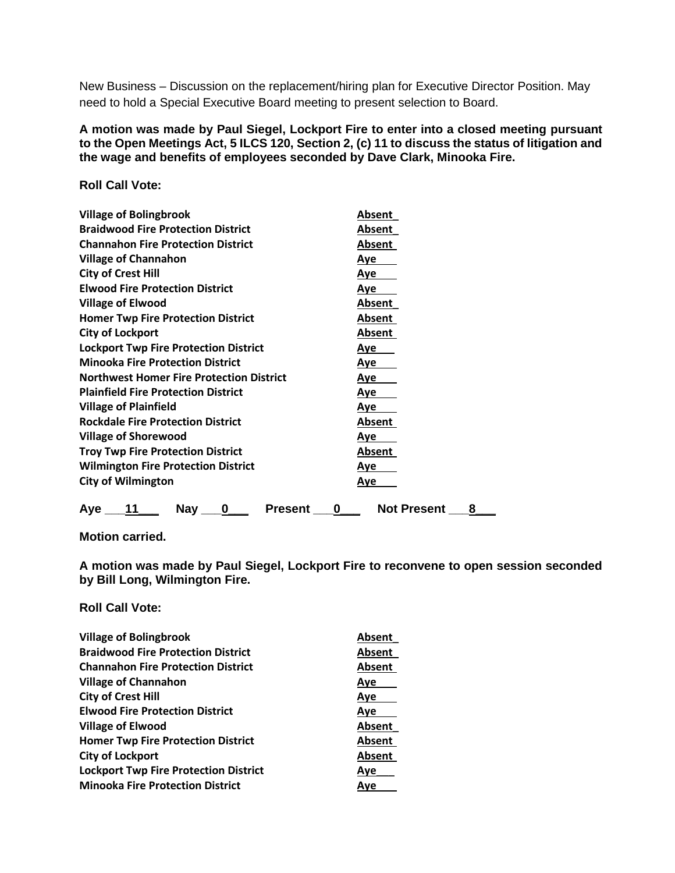New Business – Discussion on the replacement/hiring plan for Executive Director Position. May need to hold a Special Executive Board meeting to present selection to Board.

#### **A motion was made by Paul Siegel, Lockport Fire to enter into a closed meeting pursuant to the Open Meetings Act, 5 ILCS 120, Section 2, (c) 11 to discuss the status of litigation and the wage and benefits of employees seconded by Dave Clark, Minooka Fire.**

**Roll Call Vote:**

| <b>Village of Bolingbrook</b>                       | Absent                  |
|-----------------------------------------------------|-------------------------|
| <b>Braidwood Fire Protection District</b>           | <b>Absent</b>           |
| <b>Channahon Fire Protection District</b>           | Absent                  |
| <b>Village of Channahon</b>                         | <u>Aye</u>              |
| <b>City of Crest Hill</b>                           | Aye                     |
| <b>Elwood Fire Protection District</b>              | Aye                     |
| <b>Village of Elwood</b>                            | Absent                  |
| <b>Homer Twp Fire Protection District</b>           | <b>Absent</b>           |
| <b>City of Lockport</b>                             | Absent                  |
| <b>Lockport Twp Fire Protection District</b>        | <u>Aye</u>              |
| <b>Minooka Fire Protection District</b>             | <u>Aye</u>              |
| <b>Northwest Homer Fire Protection District</b>     | Aye                     |
| <b>Plainfield Fire Protection District</b>          | Aye                     |
| <b>Village of Plainfield</b>                        | <u>Aye</u>              |
| <b>Rockdale Fire Protection District</b>            | Absent                  |
| <b>Village of Shorewood</b>                         | Aye                     |
| <b>Troy Twp Fire Protection District</b>            | <b>Absent</b>           |
| <b>Wilmington Fire Protection District</b>          | <u>Aye</u>              |
| <b>City of Wilmington</b>                           | Aye                     |
| <b>Nay</b><br><b>Present</b><br>11<br>Ave<br>0<br>0 | <b>Not Present</b><br>8 |

**Motion carried.**

**A motion was made by Paul Siegel, Lockport Fire to reconvene to open session seconded by Bill Long, Wilmington Fire.**

**Roll Call Vote:**

| <b>Village of Bolingbrook</b>                | Absent |
|----------------------------------------------|--------|
| <b>Braidwood Fire Protection District</b>    | Absent |
| <b>Channahon Fire Protection District</b>    | Absent |
| <b>Village of Channahon</b>                  | Aye    |
| <b>City of Crest Hill</b>                    | Aye    |
| <b>Elwood Fire Protection District</b>       | Aye    |
| <b>Village of Elwood</b>                     | Absent |
| <b>Homer Twp Fire Protection District</b>    | Absent |
| <b>City of Lockport</b>                      | Absent |
| <b>Lockport Twp Fire Protection District</b> | Ave    |
| <b>Minooka Fire Protection District</b>      | Ave    |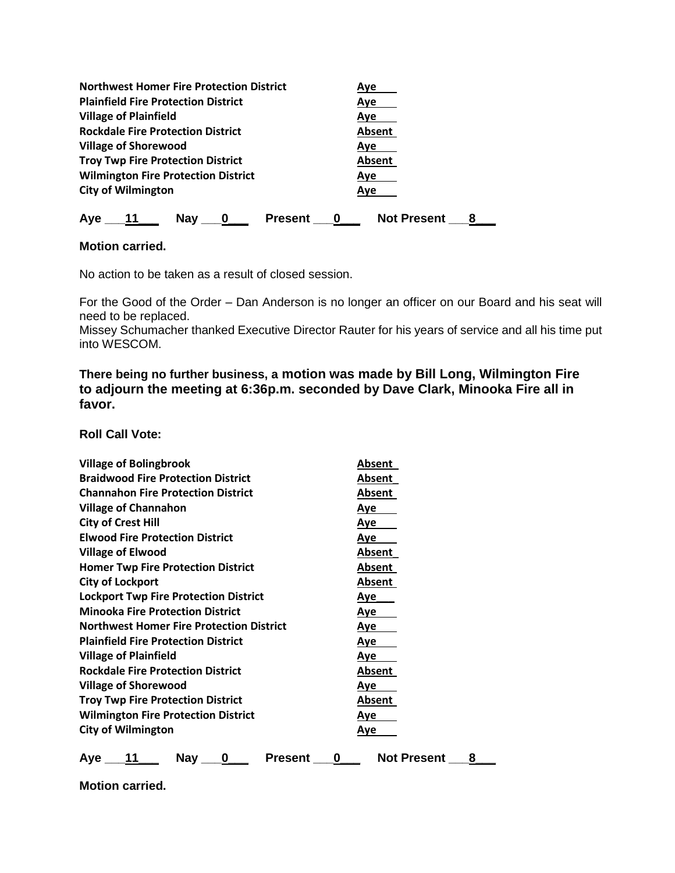| <b>Northwest Homer Fire Protection District</b> | Aye                |
|-------------------------------------------------|--------------------|
| <b>Plainfield Fire Protection District</b>      | Ave                |
| <b>Village of Plainfield</b>                    | Aye                |
| <b>Rockdale Fire Protection District</b>        | Absent             |
| <b>Village of Shorewood</b>                     | Ave                |
| <b>Troy Twp Fire Protection District</b>        | Absent             |
| <b>Wilmington Fire Protection District</b>      | Ave                |
| <b>City of Wilmington</b>                       | Ave                |
| <b>Nay</b><br>Aye<br><b>Present</b>             | <b>Not Present</b> |

#### **Motion carried.**

No action to be taken as a result of closed session.

For the Good of the Order – Dan Anderson is no longer an officer on our Board and his seat will need to be replaced.

Missey Schumacher thanked Executive Director Rauter for his years of service and all his time put into WESCOM.

**There being no further business, a motion was made by Bill Long, Wilmington Fire to adjourn the meeting at 6:36p.m. seconded by Dave Clark, Minooka Fire all in favor.** 

**Roll Call Vote:**

| <b>Village of Bolingbrook</b>                   | Absent                  |
|-------------------------------------------------|-------------------------|
| <b>Braidwood Fire Protection District</b>       | Absent                  |
| <b>Channahon Fire Protection District</b>       | Absent                  |
| <b>Village of Channahon</b>                     | Aye                     |
| <b>City of Crest Hill</b>                       | <u>Aye</u>              |
| <b>Elwood Fire Protection District</b>          | <u>Aye</u>              |
| <b>Village of Elwood</b>                        | Absent                  |
| <b>Homer Twp Fire Protection District</b>       | Absent                  |
| <b>City of Lockport</b>                         | Absent                  |
| <b>Lockport Twp Fire Protection District</b>    | Aye                     |
| <b>Minooka Fire Protection District</b>         | Aye                     |
| <b>Northwest Homer Fire Protection District</b> | Aye                     |
| <b>Plainfield Fire Protection District</b>      | <u>Aye</u>              |
| <b>Village of Plainfield</b>                    | Aye                     |
| <b>Rockdale Fire Protection District</b>        | Absent                  |
| <b>Village of Shorewood</b>                     | <u>Aye</u>              |
| <b>Troy Twp Fire Protection District</b>        | Absent                  |
| <b>Wilmington Fire Protection District</b>      | Aye                     |
| <b>City of Wilmington</b>                       | <u>Aye</u>              |
| 11<br><b>Nay</b><br>Present<br>Aye<br>0<br>0    | <b>Not Present</b><br>8 |

**Motion carried.**